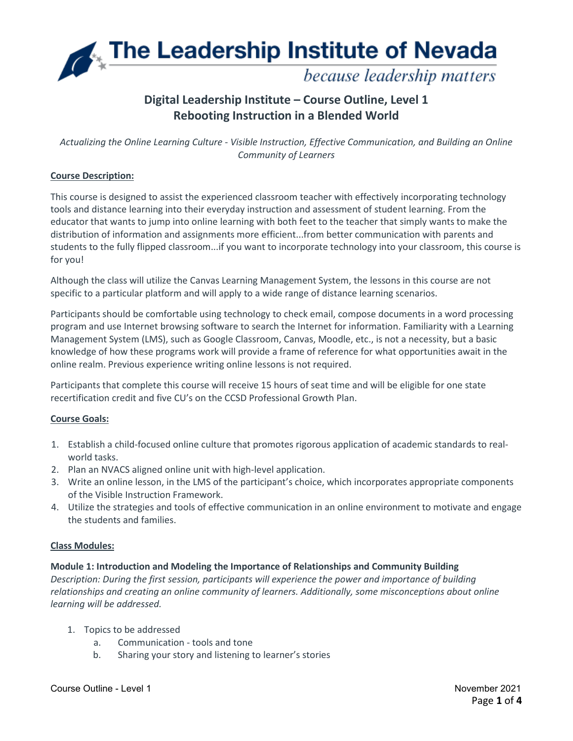The Leadership Institute of Nevada because leadership matters

# **Digital Leadership Institute – Course Outline, Level 1 Rebooting Instruction in a Blended World**

*Actualizing the Online Learning Culture - Visible Instruction, Effective Communication, and Building an Online Community of Learners*

# **Course Description:**

This course is designed to assist the experienced classroom teacher with effectively incorporating technology tools and distance learning into their everyday instruction and assessment of student learning. From the educator that wants to jump into online learning with both feet to the teacher that simply wants to make the distribution of information and assignments more efficient...from better communication with parents and students to the fully flipped classroom...if you want to incorporate technology into your classroom, this course is for you!

Although the class will utilize the Canvas Learning Management System, the lessons in this course are not specific to a particular platform and will apply to a wide range of distance learning scenarios.

Participants should be comfortable using technology to check email, compose documents in a word processing program and use Internet browsing software to search the Internet for information. Familiarity with a Learning Management System (LMS), such as Google Classroom, Canvas, Moodle, etc., is not a necessity, but a basic knowledge of how these programs work will provide a frame of reference for what opportunities await in the online realm. Previous experience writing online lessons is not required.

Participants that complete this course will receive 15 hours of seat time and will be eligible for one state recertification credit and five CU's on the CCSD Professional Growth Plan.

# **Course Goals:**

- 1. Establish a child-focused online culture that promotes rigorous application of academic standards to realworld tasks.
- 2. Plan an NVACS aligned online unit with high-level application.
- 3. Write an online lesson, in the LMS of the participant's choice, which incorporates appropriate components of the Visible Instruction Framework.
- 4. Utilize the strategies and tools of effective communication in an online environment to motivate and engage the students and families.

# **Class Modules:**

# **Module 1: Introduction and Modeling the Importance of Relationships and Community Building**

*Description: During the first session, participants will experience the power and importance of building relationships and creating an online community of learners. Additionally, some misconceptions about online learning will be addressed.*

- 1. Topics to be addressed
	- a. Communication tools and tone
	- b. Sharing your story and listening to learner's stories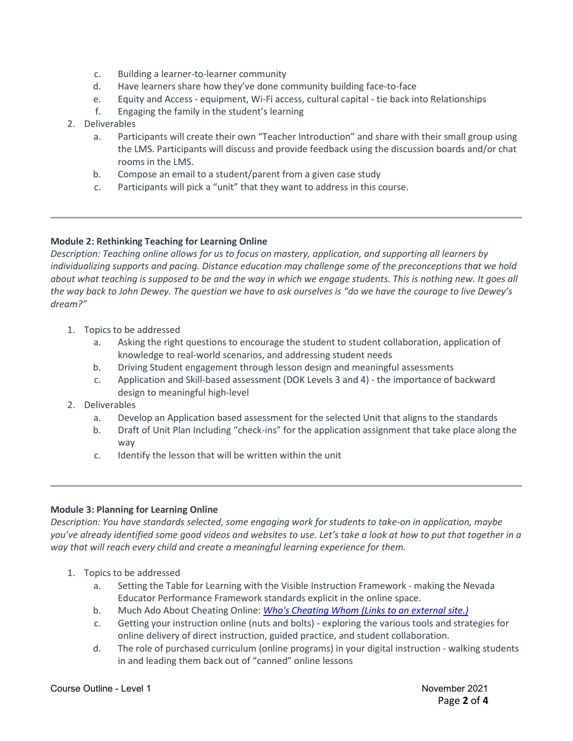- c. Building a learner-to-learner community
- d. Have learners share how they've done community building face-to-face
- e. Equity and Access equipment, Wi-Fi access, cultural capital tie back into Relationships
- f. Engaging the family in the student's learning
- 2. Deliverables
	- a. Participants will create their own "Teacher Introduction" and share with their small group using the LMS. Participants will discuss and provide feedback using the discussion boards and/or chat rooms in the LMS.
	- b. Compose an email to a student/parent from a given case study
	- c. Participants will pick a "unit" that they want to address in this course.

## **Module 2: Rethinking Teaching for Learning Online**

*Description: Teaching online allows for us to focus on mastery, application, and supporting all learners by individualizing supports and pacing. Distance education may challenge some of the preconceptions that we hold about what teaching is supposed to be and the way in which we engage students. This is nothing new. It goes all the way back to John Dewey. The question we have to ask ourselves is "do we have the courage to live Dewey's dream?"*

- 1. Topics to be addressed
	- a. Asking the right questions to encourage the student to student collaboration, application of knowledge to real-world scenarios, and addressing student needs
	- b. Driving Student engagement through lesson design and meaningful assessments
	- c. Application and Skill-based assessment (DOK Levels 3 and 4) the importance of backward design to meaningful high-level
- 2. Deliverables
	- a. Develop an Application based assessment for the selected Unit that aligns to the standards
	- b. Draft of Unit Plan Including "check-ins" for the application assignment that take place along the way
	- c. Identify the lesson that will be written within the unit

### **Module 3: Planning for Learning Online**

*Description: You have standards selected, some engaging work for students to take-on in application, maybe you've already identified some good videos and websites to use. Let's take a look at how to put that together in a way that will reach every child and create a meaningful learning experience for them.*

- 1. Topics to be addressed
	- a. Setting the Table for Learning with the Visible Instruction Framework making the Nevada Educator Performance Framework standards explicit in the online space.
	- b. Much Ado About Cheating Online: *Who's Cheating Whom [\(Links to an external site.\)](https://docs.google.com/document/d/1m6MyI7SEgpL5LD_Bl441nt7-tuihG8XMD_du19nR3Y4/edit?usp=sharing)*
	- c. Getting your instruction online (nuts and bolts) exploring the various tools and strategies for online delivery of direct instruction, guided practice, and student collaboration.
	- d. The role of purchased curriculum (online programs) in your digital instruction walking students in and leading them back out of "canned" online lessons

#### Course Outline - Level 1 November 2021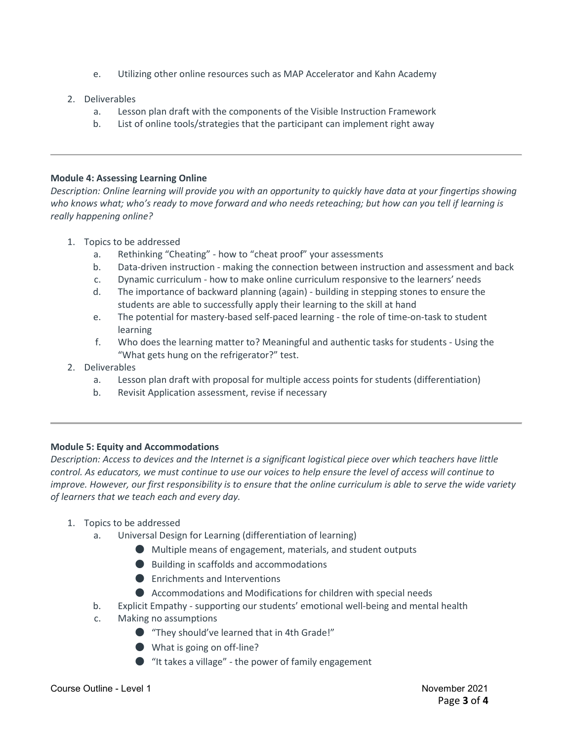- e. Utilizing other online resources such as MAP Accelerator and Kahn Academy
- 2. Deliverables
	- a. Lesson plan draft with the components of the Visible Instruction Framework
	- b. List of online tools/strategies that the participant can implement right away

### **Module 4: Assessing Learning Online**

*Description: Online learning will provide you with an opportunity to quickly have data at your fingertips showing who knows what; who's ready to move forward and who needs reteaching; but how can you tell if learning is really happening online?*

- 1. Topics to be addressed
	- a. Rethinking "Cheating" how to "cheat proof" your assessments
	- b. Data-driven instruction making the connection between instruction and assessment and back
	- c. Dynamic curriculum how to make online curriculum responsive to the learners' needs
	- d. The importance of backward planning (again) building in stepping stones to ensure the students are able to successfully apply their learning to the skill at hand
	- e. The potential for mastery-based self-paced learning the role of time-on-task to student learning
	- f. Who does the learning matter to? Meaningful and authentic tasks for students Using the "What gets hung on the refrigerator?" test.
- 2. Deliverables
	- a. Lesson plan draft with proposal for multiple access points for students (differentiation)
	- b. Revisit Application assessment, revise if necessary

### **Module 5: Equity and Accommodations**

*Description: Access to devices and the Internet is a significant logistical piece over which teachers have little control. As educators, we must continue to use our voices to help ensure the level of access will continue to improve. However, our first responsibility is to ensure that the online curriculum is able to serve the wide variety of learners that we teach each and every day.*

# 1. Topics to be addressed

- a. Universal Design for Learning (differentiation of learning)
	- Multiple means of engagement, materials, and student outputs
	- Building in scaffolds and accommodations
	- Enrichments and Interventions
	- Accommodations and Modifications for children with special needs
- b. Explicit Empathy supporting our students' emotional well-being and mental health
- c. Making no assumptions
	- "They should've learned that in 4th Grade!"
	- What is going on off-line?
	- "It takes a village" the power of family engagement

#### Course Outline - Level 1 November 2021